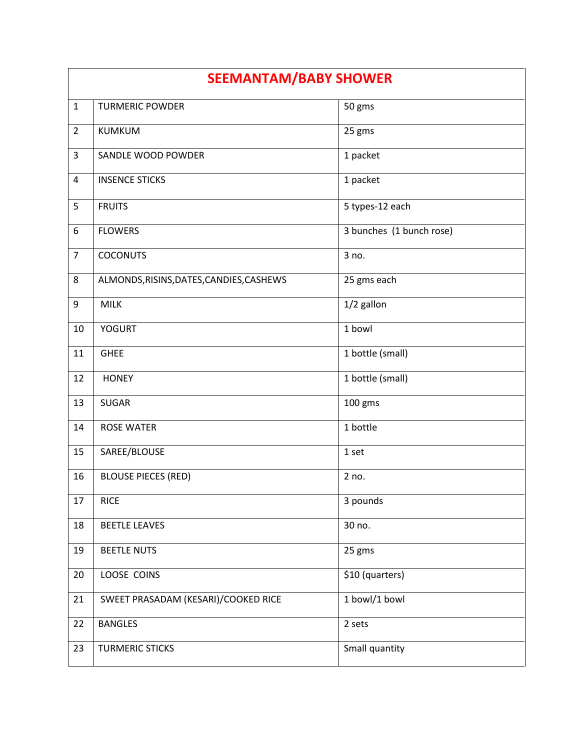| <b>SEEMANTAM/BABY SHOWER</b> |                                          |                          |
|------------------------------|------------------------------------------|--------------------------|
| $\mathbf{1}$                 | <b>TURMERIC POWDER</b>                   | 50 gms                   |
| $\overline{2}$               | <b>KUMKUM</b>                            | 25 gms                   |
| $\overline{3}$               | SANDLE WOOD POWDER                       | 1 packet                 |
| 4                            | <b>INSENCE STICKS</b>                    | 1 packet                 |
| 5                            | <b>FRUITS</b>                            | 5 types-12 each          |
| 6                            | <b>FLOWERS</b>                           | 3 bunches (1 bunch rose) |
| $\overline{7}$               | <b>COCONUTS</b>                          | 3 no.                    |
| 8                            | ALMONDS, RISINS, DATES, CANDIES, CASHEWS | 25 gms each              |
| 9                            | <b>MILK</b>                              | 1/2 gallon               |
| 10                           | <b>YOGURT</b>                            | 1 bowl                   |
| 11                           | <b>GHEE</b>                              | 1 bottle (small)         |
| 12                           | <b>HONEY</b>                             | 1 bottle (small)         |
| 13                           | SUGAR                                    | 100 gms                  |
| 14                           | <b>ROSE WATER</b>                        | 1 bottle                 |
| 15                           | SAREE/BLOUSE                             | 1 set                    |
| 16                           | <b>BLOUSE PIECES (RED)</b>               | 2 no.                    |
| 17                           | <b>RICE</b>                              | 3 pounds                 |
| 18                           | <b>BEETLE LEAVES</b>                     | 30 no.                   |
| 19                           | <b>BEETLE NUTS</b>                       | 25 gms                   |
| 20                           | LOOSE COINS                              | \$10 (quarters)          |
| 21                           | SWEET PRASADAM (KESARI)/COOKED RICE      | 1 bowl/1 bowl            |
| 22                           | <b>BANGLES</b>                           | 2 sets                   |
| 23                           | <b>TURMERIC STICKS</b>                   | Small quantity           |